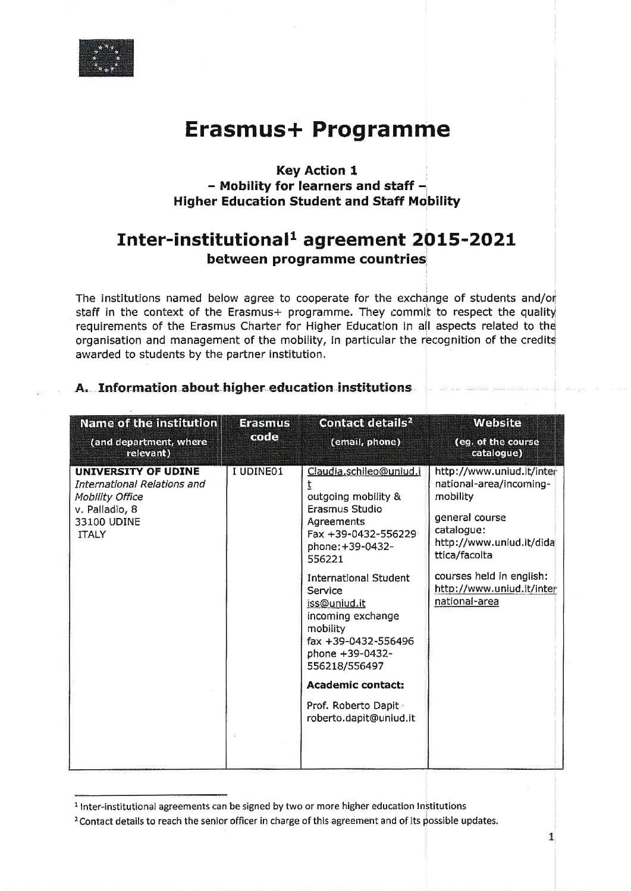

# Erasmus+ Programme

# Key Action I - Mobility for learners and staff -Higher Education Student and Staff Mobility

# Inter-institutional<sup>1</sup> agreement 2015-2021 between programme countries

The institutions named below agree to cooperate for the exchange of students and/or staff in the context of the Erasmus+ programme. They commit to respect the quality requirements of the Erasmus Charter for Higher Education in all aspects related to the organisation and management of the mobility, in particular the recognition of the credits awarded to students by the partner institution.

| <b>Name of the institution</b>                                                                                                | <b>Erasmus</b> | Contact details <sup>2</sup>                                                                                                                                                                                                                                                                                                                                            | Website                                                                                                                                                                                                                 |
|-------------------------------------------------------------------------------------------------------------------------------|----------------|-------------------------------------------------------------------------------------------------------------------------------------------------------------------------------------------------------------------------------------------------------------------------------------------------------------------------------------------------------------------------|-------------------------------------------------------------------------------------------------------------------------------------------------------------------------------------------------------------------------|
| (and department, where<br>relevant)                                                                                           | code           | (email, phone)                                                                                                                                                                                                                                                                                                                                                          | (eg. of the course<br>catalogue)                                                                                                                                                                                        |
| UNIVERSITY OF UDINE<br>International Relations and<br><b>Mobility Office</b><br>v. Palladio, 8<br>33100 UDINE<br><b>ITALY</b> | I UDINE01      | Claudia.schileo@uniud.i<br>outgoing mobility &<br>Erasmus Studio<br>Agreements<br>Fax +39-0432-556229<br>phone: +39-0432-<br>556221<br><b>International Student</b><br>Service<br>iss@uniud.it<br>incoming exchange<br>mobility<br>fax +39-0432-556496<br>phone +39-0432-<br>556218/556497<br><b>Academic contact:</b><br>Prof. Roberto Dapit<br>roberto.dapit@uniud.it | http://www.uniud.it/inter<br>national-area/incoming-<br>mobility<br>general course<br>catalogue:<br>http://www.uniud.it/dida<br>ttica/facolta<br>courses held in english:<br>http://www.uniud.it/inter<br>national-area |

# A. Information about higher education institutions

<sup>&</sup>lt;sup>1</sup> Inter-institutional agreements can be signed by two or more higher education Institutions

<sup>&</sup>lt;sup>2</sup> Contact details to reach the senior officer in charge of this agreement and of its possible updates.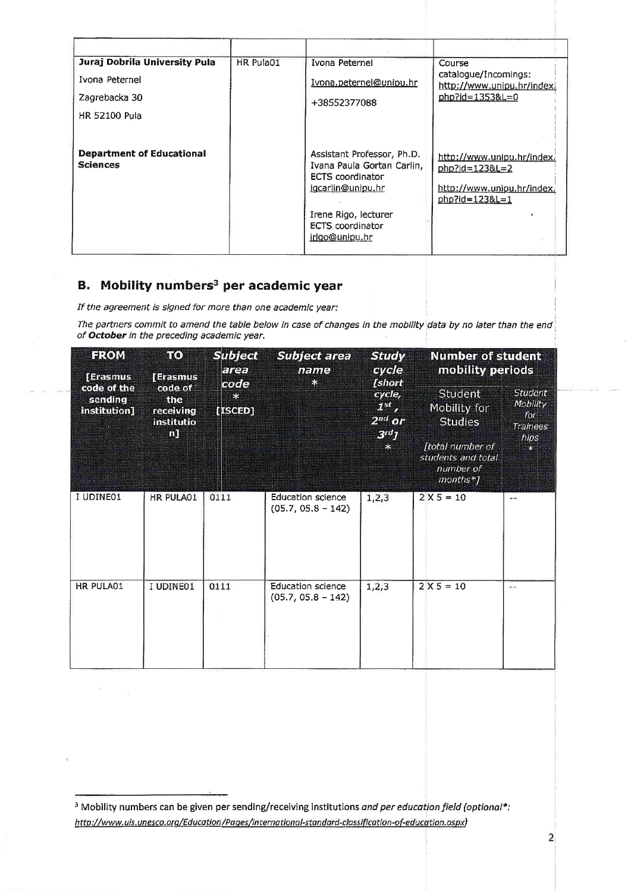| Juraj Dobrila University Pula<br>Ivona Peternel<br>Zagrebacka 30<br>HR 52100 Pula | HR Pula01 | Ivona Peternel<br>Ivona.peternel@unipu.hr<br>+38552377088                                                                                                                     | Course<br>catalogue/Incomings:<br>http://www.unipu.hr/indexl<br>$php$ ?id=1353&L=0                 |
|-----------------------------------------------------------------------------------|-----------|-------------------------------------------------------------------------------------------------------------------------------------------------------------------------------|----------------------------------------------------------------------------------------------------|
| <b>Department of Educational</b><br><b>Sciences</b>                               |           | Assistant Professor, Ph.D.<br>Ivana Paula Gortan Carlin.<br><b>ECTS</b> coordinator<br>igcarlin@unipu.hr<br>Irene Rigo, lecturer<br><b>ECTS</b> coordinator<br>irigo@unipu.hr | http://www.unipu.hr/index.<br>$php$ ?id=123&L=2<br>http://www.unipu.hr/index.<br>$php$ ?id=123&L=1 |

# B. Mobility numbers<sup>3</sup> per academic year

If the agreement is slgned for more than one academic year:

The partners commit to amend the table below in case of changes in the mobility data by no later than the end of October in the preceding academic year,

| <b>FROM</b><br>ΠO<br>[Erasmus]<br>[Erasmus | <b>Subject</b><br>area<br>code                 | <b>Subject area</b><br>name<br>$\ast$ | <b>Study</b><br>cycle                            | <b>Number of student</b><br>mobility periods                    |                                                                                                                 |                                                                                |
|--------------------------------------------|------------------------------------------------|---------------------------------------|--------------------------------------------------|-----------------------------------------------------------------|-----------------------------------------------------------------------------------------------------------------|--------------------------------------------------------------------------------|
| code of the<br>sending<br>institution]     | code of<br>the<br>receiving<br>institutio<br>m | 来<br>[ISCED]                          |                                                  | [short<br>cycle,<br>$1^{st}$<br>$2^{nd}$ or<br>$3^{rd}1$<br>$*$ | Student<br>Mobility for<br><b>Studies</b><br>[total number of<br>students and total<br>number of<br>$months*$ ] | <b>Student</b><br><b>Mobility</b><br>for<br><b>Trainees</b><br>hips.<br>$\ast$ |
| I UDINE01                                  | HR PULA01                                      | 0111                                  | <b>Education science</b><br>$(05.7, 05.8 - 142)$ | 1, 2, 3                                                         | $2 X 5 = 10$                                                                                                    |                                                                                |
| HR PULA01                                  | I UDINE01                                      | 0111                                  | <b>Education science</b><br>$(05.7, 05.8 - 142)$ | 1,2,3                                                           | $2 X 5 = 10$                                                                                                    | $- -$                                                                          |

<sup>&</sup>lt;sup>3</sup> Mobility numbers can be given per sending/receiving institutions and per education field (optional\*: http://www.uis.unesco.org/Education/Pages/international-standard-classification-of-education.aspx)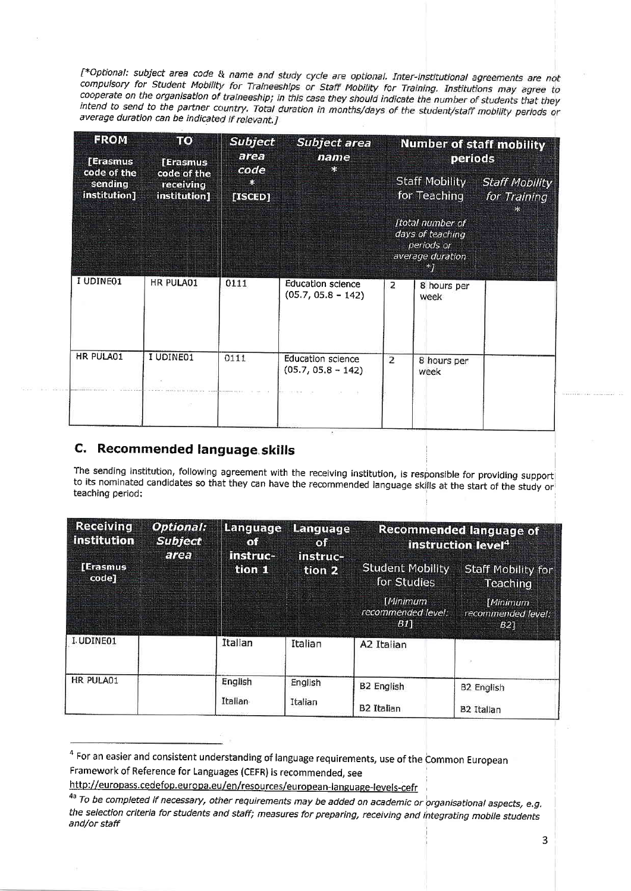[\*Optional: subject area code & name and study cycle are optional. Inter-institutional agreements are not compulsory for Student Mobility for Traineeships or Staff Mobility for Training. Institutions may agree to cooperate on the organisation of traineeship; in this case they should indicate the number of students that they intend to send to the partner country. Total duration in months/days of the student/staff mobility periods or average duration can be indicated if relevant.1

| <b>FROM</b><br><b>TO</b><br>[Erasmus<br>[Erasmus] |                                          | <b>Subject</b><br><b>Subject area</b><br>area<br>name<br>code<br>540 |                                                  | <b>Number of staff mobility</b><br>periods |                                                                                                                         |                                       |
|---------------------------------------------------|------------------------------------------|----------------------------------------------------------------------|--------------------------------------------------|--------------------------------------------|-------------------------------------------------------------------------------------------------------------------------|---------------------------------------|
| code of the<br>sending<br>institution]            | code of the<br>receiving<br>institution] | [ISCED]                                                              |                                                  |                                            | <b>Staff Mobility</b><br>for Teaching<br>[total number of<br>days of teaching<br>periods or<br>average duration<br>3* J | <b>Staff Mobility</b><br>for Training |
| I UDINE01                                         | HR PULA01                                | 0111                                                                 | <b>Education science</b><br>$(05.7, 05.8 - 142)$ | 2                                          | 8 hours per<br>week                                                                                                     |                                       |
| HR PULA01                                         | I UDINE01                                | 0111                                                                 | Education science<br>$(05.7, 05.8 - 142)$        | $\overline{2}$                             | 8 hours per<br>week                                                                                                     |                                       |

### C, Recommended language, skills

The sending institution, following agreement with the receiving institution, is responsible for providing support<br>to its nominated candidates so that they can have the recommended language skills at the start of the study

| <b>Receiving</b><br><b>Optional:</b><br><i>institution</i><br><b>Subject</b><br>area |  | Language<br>of<br>instruc- | <b>Language</b><br>of<br>instruc- | <b>Recommended language of</b><br>instruction level <sup>4</sup> |                                              |  |
|--------------------------------------------------------------------------------------|--|----------------------------|-----------------------------------|------------------------------------------------------------------|----------------------------------------------|--|
| [Erasmus]<br>code]                                                                   |  | tion 1                     | tion 2                            | <b>Student Mobility</b><br>for Studies                           | <b>Staff Mobility for</b><br><b>Teaching</b> |  |
|                                                                                      |  |                            |                                   | [Minimum]<br>recommended level:<br>B1                            | [Minimum<br>recommended level:<br>B21        |  |
| I UDINE01                                                                            |  | Italian                    | Italian                           | A2 Italian                                                       |                                              |  |
| <b>HR PULA01</b>                                                                     |  | English<br>Italian         | English<br>Italian                | <b>B2 English</b><br>B2 Italian                                  | <b>B2 English</b><br><b>B2 Italian</b>       |  |

<sup>&</sup>lt;sup>4</sup> For an easier and consistent understanding of language requirements, use of the Common European Framework of Reference for Languages (CEFR) is recommended, see

http://europass.cedefop.europa.eu/en/resources/european-language-levels-cefr

<sup>&</sup>lt;sup>4a</sup> To be completed if necessary, other requirements may be added on academic or organisational aspects, e.g. the selection criteria for students and staff; measures for preparing, receiving and ihtegrating mobile students and/or staff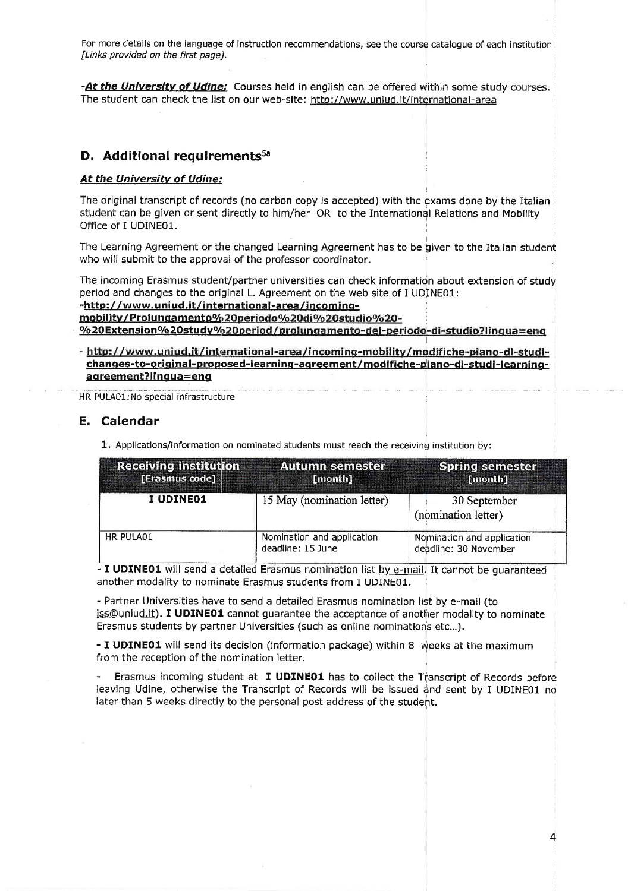For more details on the language of Instruction recommendations, see the course catalogue of each institution [Links provided on the first page].

-At the University of Udine: Courses held in english can be offered within some study courses. The student can check the list on our web-siter http://www.uniud.itlinternational-area

### D. Additional requirements<sup>5a</sup>

#### At the University of Udine:

The original transcript of records (no carbon copy is accepted) with the exams done by the Italian student can be given or sent directly to him/her OR to the International Relations and Mobility Office of I UDINEO1.

The Learning Agreement or the changed Learning Agreement has to be given to the Italian student who will submit to the approval of the professor coordinator.

The incoming Erasmus student/partner universities can check information about extension of study period and changes to the original L. Agreement on the web site of I UDINEO1:

-http://www.uniud.it/international-area/incoming-

mobility/Prolungamento%20periodo%20di%20studio%20-

%20Extension%20study%20period/prolungamento-del-periodo-di-studio?lingua=eng

- http://www.uniud.it/international-area/incoming-mobility/modifiche-piano-di-studichanges-to-original-proposed-learning-agreement/modifiche-piano-di-studi-learningagreement?lingua=eng

HR PULA01:No special infrastructure

#### E. Calendar

1. Applications/information on nominated students must reach the receiving institution by:

| <b>Receiving institution</b><br>[Erasmus code] | <b>Autumn semester</b><br>[month]               | <b>Spring semester</b><br>[month]                   |
|------------------------------------------------|-------------------------------------------------|-----------------------------------------------------|
| I UDINE01                                      | 15 May (nomination letter)                      | 30 September<br>(nomination letter)                 |
| HR PULA01                                      | Nomination and application<br>deadline: 15 June | Nomination and application<br>deadline: 30 November |

- I UDINE01 will send a detailed Erasmus nomination list by e-mail. It cannot be quaranteed another modality to nominate Erasmus students from I UDINEO1.

- Paftner Universities have to send a detailed Erasmus nomination list by e-mail (to iss@uniud.it). I UDINEO1 cannot guarantee the acceptance of another modality to nominate Erasmus students by partner Universities (such as online nominations etc...).

- I UDINEO1 will send its decision (information package) within 8 weeks at the maximum from the reception of the nomination letter.

Erasmus incoming student at I UDINEO1 has to collect the Transcript of Records before leaving Udine, otherwise the Transcript of Records will be issued and sent by I UDINE01 nd later than 5 weeks directly to the personal post address of the student,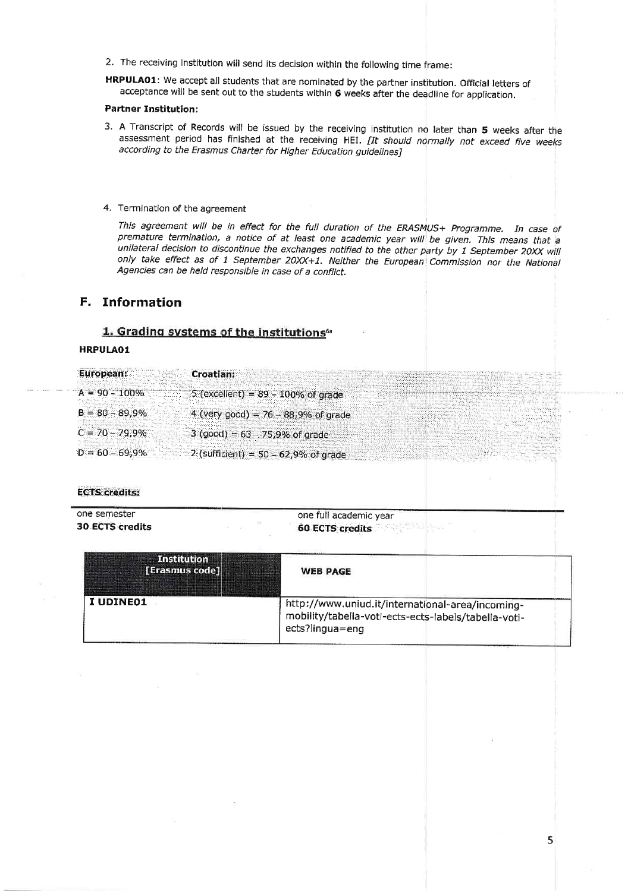2. The receiving Institution will send its decision within the following time frame:

HRPULAOI: we accept all students that are nominated by the patner institution. Official letters of acceptance will be sent out to the students within 6 weeks after the deadline for application.

#### Partner Institutioni

- 3. A Transcript of Records will be issued by the receiving institution no later than 5 weeks after the assessment period has finished at the receiving HEI. [It should normally not exceed five weeks according to the Erasmus Charter for Higher Education guidelines]
- 4. Termination of the agreement

This agreement will be in effect for the full duration of the ERASMUS+ Programme. In case of premature termination, a notice of at least one academic year will be given. This means that a unilateral decision to discontinue the exchanges notified to the other party by 1 September 20XX will only take effect as of 1 September 20XX+1. Neither the European Commission nor the National Agencies can be held responsible in case of a conflict.

#### F. Information

#### 1. Grading systems of the institutions<sup>62</sup>

#### HRPULA01

| European:        | Croatian:                               |
|------------------|-----------------------------------------|
| $A = 90 - 100\%$ | $5$ (excellent) = $89 - 100\%$ of grade |
| $B = 80 - 89,9%$ | 4 (very good) = $76 - 88,9\%$ of grade  |
| $C = 70 - 79,9%$ | $3 (good) = 63 - 75,9%$ of grade        |
| $D = 60 - 69,9%$ | $-2$ (sufficient) = 50 - 62,9% of grade |

#### ECTS credits:

one semester 30 ECTS credits

one fulf academic year 60 ECTS credits in the state of the state of the state of the state of the state of the state of the state of the state of the state of the state of the state of the state of the state of the state of the state of the stat

| <b>Institution</b><br>[Erasmus code] | <b>WEB PAGE</b>                                                                                                             |
|--------------------------------------|-----------------------------------------------------------------------------------------------------------------------------|
| I UDINE01                            | http://www.uniud.it/international-area/incoming-<br>mobility/tabella-voti-ects-ects-labels/tabella-voti-<br>ects?lingua=eng |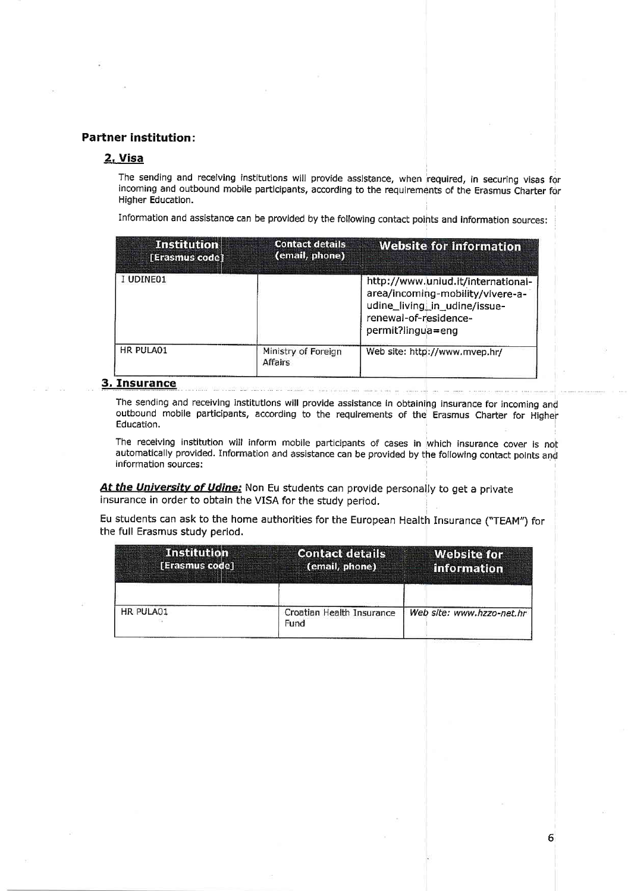#### Partner institution:

#### ?. Visa

The sending and receiving institutions will provide assistance, when required, in securing visas for incoming and outbound mobile participants, according to the requirements of the Erasmus Charter for Higher Educatlon.

Informatlon and assistance can be provided by the following contact poihts and information sources:

| <b>Institution</b><br>[Erasmus code] | <b>Contact details</b><br>(email, phone) | <b>Website for information</b>                                                                                                                       |  |
|--------------------------------------|------------------------------------------|------------------------------------------------------------------------------------------------------------------------------------------------------|--|
| UDINE01                              |                                          | http://www.uniud.it/international-<br>area/incoming-mobility/vivere-a-<br>udine_living_in_udine/issue-<br>renewal-of-residence-<br>permit?lingua=eng |  |
| HR PULA01                            | Ministry of Foreign<br><b>Affairs</b>    | Web site: http://www.mvep.hr/                                                                                                                        |  |

#### 3, Insurance

The sending and receiving institutions will provide assistance in obtaining insurance for incoming and outbound mobile participants, according to the requirements of the Erasmus Charter for Higher Education.

The receiving institution will inform mobile participants of cases in which insurance cover is not automatically provided. Information and assistance can be provided by the following contact points and information sources:

At the University of Udine: Non Eu students can provide personally to get a private insurance in order to obtain the VISA for the study period.

Eu students can ask to the home authorities for the European Health Insurance ("TEAM") for the full Erasmus study period.

| <b>Institution</b> | <b>Contact details</b>            | Website for               |
|--------------------|-----------------------------------|---------------------------|
| [Erasmus code]     | (email, phone)                    | <b>information</b>        |
| HR PULA01          | Croatian Health Insurance<br>Fund | Web site: www.hzzo-net.hr |